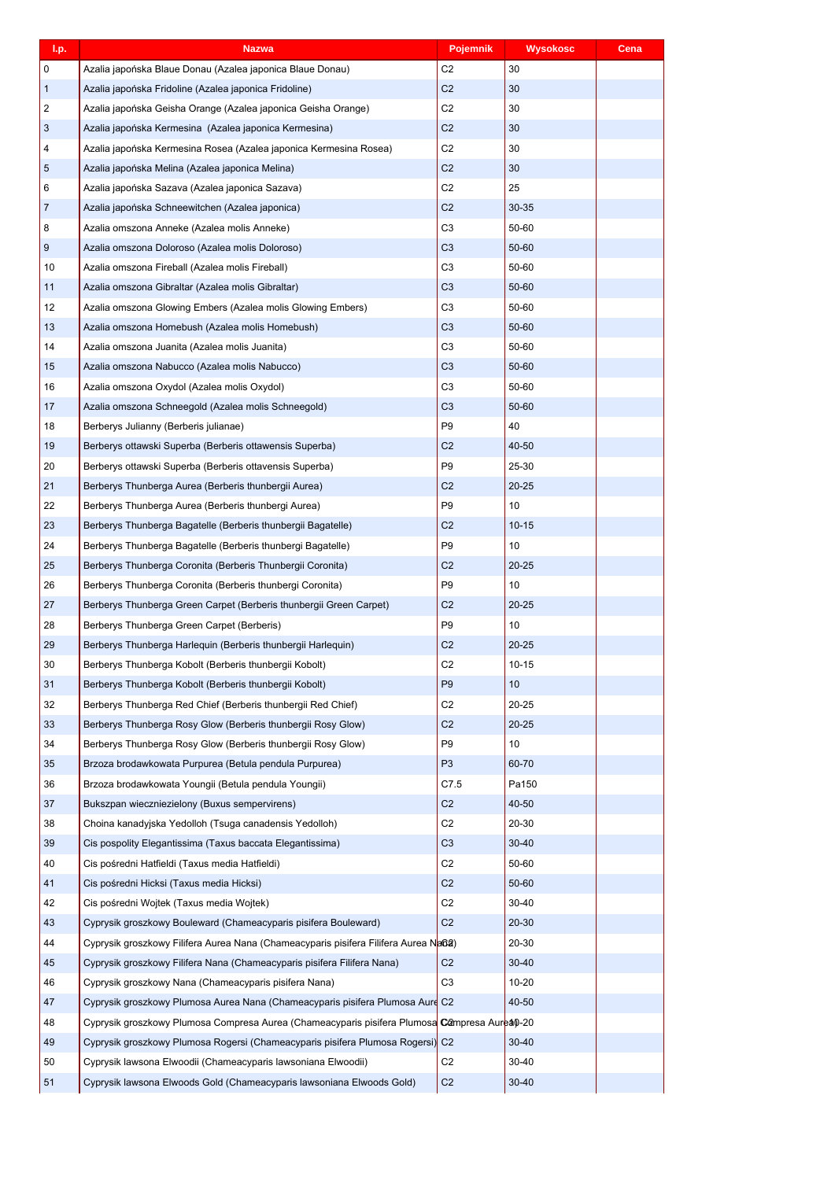| I.p.           | <b>Nazwa</b>                                                                                 | Pojemnik       | <b>Wysokosc</b> | Cena |
|----------------|----------------------------------------------------------------------------------------------|----------------|-----------------|------|
| 0              | Azalia japońska Blaue Donau (Azalea japonica Blaue Donau)                                    | C <sub>2</sub> | 30              |      |
| $\mathbf{1}$   | Azalia japońska Fridoline (Azalea japonica Fridoline)                                        | C <sub>2</sub> | 30              |      |
| $\overline{2}$ | Azalia japońska Geisha Orange (Azalea japonica Geisha Orange)                                | C <sub>2</sub> | 30              |      |
| 3              | Azalia japońska Kermesina (Azalea japonica Kermesina)                                        | C <sub>2</sub> | 30              |      |
| 4              | Azalia japońska Kermesina Rosea (Azalea japonica Kermesina Rosea)                            | C <sub>2</sub> | 30              |      |
| 5              | Azalia japońska Melina (Azalea japonica Melina)                                              | C <sub>2</sub> | 30              |      |
| 6              | Azalia japońska Sazava (Azalea japonica Sazava)                                              | C <sub>2</sub> | 25              |      |
| $\overline{7}$ | Azalia japońska Schneewitchen (Azalea japonica)                                              | C <sub>2</sub> | 30-35           |      |
| 8              | Azalia omszona Anneke (Azalea molis Anneke)                                                  | C <sub>3</sub> | 50-60           |      |
| 9              | Azalia omszona Doloroso (Azalea molis Doloroso)                                              | C <sub>3</sub> | 50-60           |      |
| 10             | Azalia omszona Fireball (Azalea molis Fireball)                                              | C <sub>3</sub> | 50-60           |      |
| 11             | Azalia omszona Gibraltar (Azalea molis Gibraltar)                                            | C <sub>3</sub> | 50-60           |      |
| 12             | Azalia omszona Glowing Embers (Azalea molis Glowing Embers)                                  | C <sub>3</sub> | 50-60           |      |
| 13             | Azalia omszona Homebush (Azalea molis Homebush)                                              | C <sub>3</sub> | 50-60           |      |
| 14             | Azalia omszona Juanita (Azalea molis Juanita)                                                | C <sub>3</sub> | 50-60           |      |
| 15             | Azalia omszona Nabucco (Azalea molis Nabucco)                                                | C <sub>3</sub> | 50-60           |      |
| 16             | Azalia omszona Oxydol (Azalea molis Oxydol)                                                  | C <sub>3</sub> | 50-60           |      |
| 17             | Azalia omszona Schneegold (Azalea molis Schneegold)                                          | C <sub>3</sub> | 50-60           |      |
| 18             | Berberys Julianny (Berberis julianae)                                                        | P <sub>9</sub> | 40              |      |
| 19             | Berberys ottawski Superba (Berberis ottawensis Superba)                                      | C <sub>2</sub> | 40-50           |      |
| 20             | Berberys ottawski Superba (Berberis ottavensis Superba)                                      | P <sub>9</sub> | 25-30           |      |
| 21             | Berberys Thunberga Aurea (Berberis thunbergii Aurea)                                         | C <sub>2</sub> | $20 - 25$       |      |
| 22             | Berberys Thunberga Aurea (Berberis thunbergi Aurea)                                          | P <sub>9</sub> | 10              |      |
| 23             | Berberys Thunberga Bagatelle (Berberis thunbergii Bagatelle)                                 | C <sub>2</sub> | $10 - 15$       |      |
| 24             | Berberys Thunberga Bagatelle (Berberis thunbergi Bagatelle)                                  | P <sub>9</sub> | 10              |      |
| 25             | Berberys Thunberga Coronita (Berberis Thunbergii Coronita)                                   | C <sub>2</sub> | $20 - 25$       |      |
| 26             | Berberys Thunberga Coronita (Berberis thunbergi Coronita)                                    | P <sub>9</sub> | 10              |      |
| 27             | Berberys Thunberga Green Carpet (Berberis thunbergii Green Carpet)                           | C <sub>2</sub> | $20 - 25$       |      |
| 28             | Berberys Thunberga Green Carpet (Berberis)                                                   | P <sub>9</sub> | 10              |      |
| 29             | Berberys Thunberga Harlequin (Berberis thunbergii Harlequin)                                 | C <sub>2</sub> | $20 - 25$       |      |
| 30             | Berberys Thunberga Kobolt (Berberis thunbergii Kobolt)                                       | C <sub>2</sub> | $10 - 15$       |      |
| 31             | Berberys Thunberga Kobolt (Berberis thunbergii Kobolt)                                       | P <sub>9</sub> | 10              |      |
| 32             | Berberys Thunberga Red Chief (Berberis thunbergii Red Chief)                                 | C <sub>2</sub> | $20 - 25$       |      |
| 33             | Berberys Thunberga Rosy Glow (Berberis thunbergii Rosy Glow)                                 | C <sub>2</sub> | $20 - 25$       |      |
| 34             | Berberys Thunberga Rosy Glow (Berberis thunbergii Rosy Glow)                                 | P <sub>9</sub> | 10              |      |
| 35             | Brzoza brodawkowata Purpurea (Betula pendula Purpurea)                                       | P <sub>3</sub> | 60-70           |      |
| 36             | Brzoza brodawkowata Youngii (Betula pendula Youngii)                                         | C7.5           | Pa150           |      |
| 37             | Bukszpan wieczniezielony (Buxus sempervirens)                                                | C <sub>2</sub> | 40-50           |      |
| 38             | Choina kanadyjska Yedolloh (Tsuga canadensis Yedolloh)                                       | C <sub>2</sub> | 20-30           |      |
| 39             | Cis pospolity Elegantissima (Taxus baccata Elegantissima)                                    | C <sub>3</sub> | $30 - 40$       |      |
| 40             | Cis pośredni Hatfieldi (Taxus media Hatfieldi)                                               | C <sub>2</sub> | 50-60           |      |
| 41             | Cis pośredni Hicksi (Taxus media Hicksi)                                                     | C <sub>2</sub> | 50-60           |      |
| 42             |                                                                                              |                |                 |      |
|                | Cis pośredni Wojtek (Taxus media Wojtek)                                                     | C <sub>2</sub> | 30-40           |      |
| 43             | Cyprysik groszkowy Bouleward (Chameacyparis pisifera Bouleward)                              | C <sub>2</sub> | 20-30           |      |
| 44             | Cyprysik groszkowy Filifera Aurea Nana (Chameacyparis pisifera Filifera Aurea NaGa)          |                | 20-30           |      |
| 45             | Cyprysik groszkowy Filifera Nana (Chameacyparis pisifera Filifera Nana)                      | C <sub>2</sub> | $30 - 40$       |      |
| 46             | Cyprysik groszkowy Nana (Chameacyparis pisifera Nana)                                        | C <sub>3</sub> | $10 - 20$       |      |
| 47             | Cyprysik groszkowy Plumosa Aurea Nana (Chameacyparis pisifera Plumosa Aure                   | C <sub>2</sub> | 40-50           |      |
| 48             | Cyprysik groszkowy Plumosa Compresa Aurea (Chameacyparis pisifera Plumosa Campresa Aurea0-20 |                |                 |      |
| 49             | Cyprysik groszkowy Plumosa Rogersi (Chameacyparis pisifera Plumosa Rogersi)                  | C <sub>2</sub> | $30 - 40$       |      |
| 50             | Cyprysik lawsona Elwoodii (Chameacyparis lawsoniana Elwoodii)                                | C <sub>2</sub> | 30-40           |      |
| 51             | Cyprysik lawsona Elwoods Gold (Chameacyparis lawsoniana Elwoods Gold)                        | C <sub>2</sub> | $30 - 40$       |      |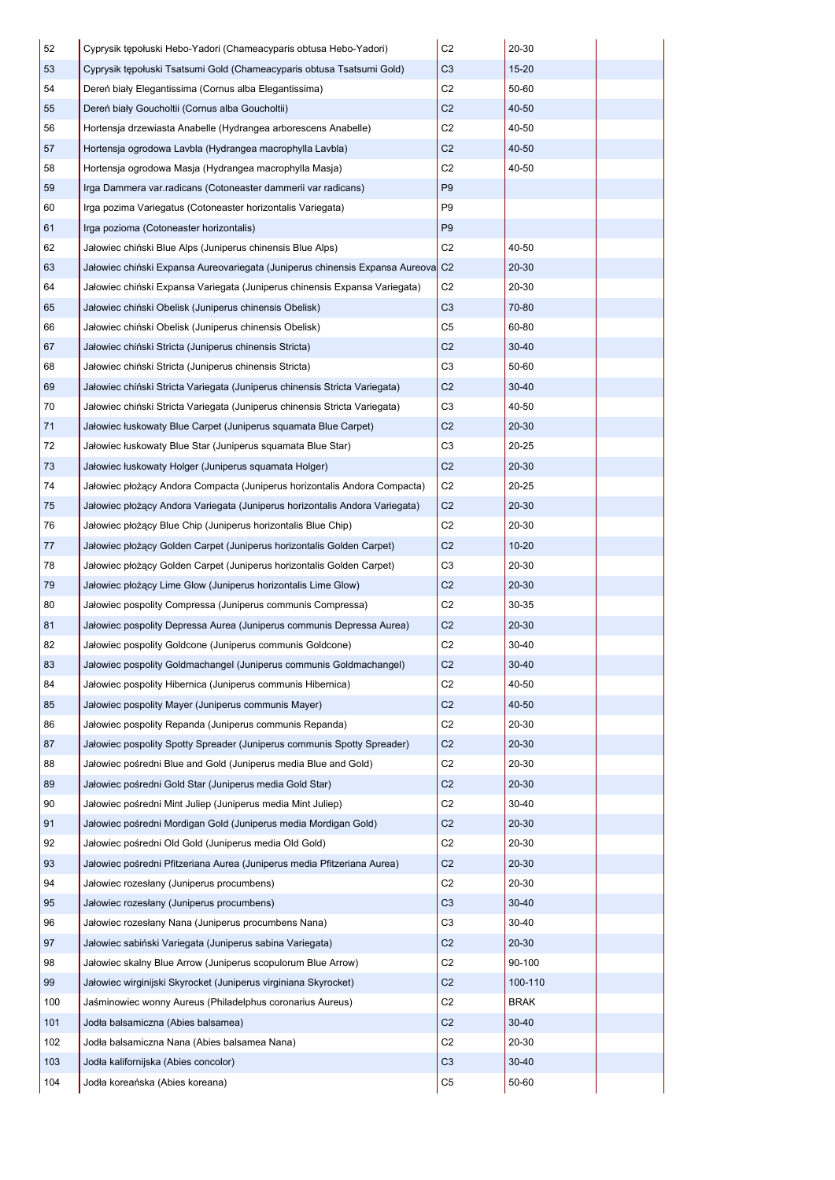| 52  | Cyprysik tepołuski Hebo-Yadori (Chameacyparis obtusa Hebo-Yadori)            | C <sub>2</sub> | 20-30       |  |
|-----|------------------------------------------------------------------------------|----------------|-------------|--|
| 53  | Cyprysik tepołuski Tsatsumi Gold (Chameacyparis obtusa Tsatsumi Gold)        | C <sub>3</sub> | $15 - 20$   |  |
| 54  | Dereń biały Elegantissima (Cornus alba Elegantissima)                        | C <sub>2</sub> | 50-60       |  |
| 55  | Dereń biały Goucholtii (Cornus alba Goucholtii)                              | C <sub>2</sub> | 40-50       |  |
| 56  | Hortensja drzewiasta Anabelle (Hydrangea arborescens Anabelle)               | C <sub>2</sub> | 40-50       |  |
| 57  | Hortensia ogrodowa Lavbla (Hydrangea macrophylla Lavbla)                     | C <sub>2</sub> | 40-50       |  |
| 58  | Hortensia ogrodowa Masja (Hydrangea macrophylla Masja)                       | C <sub>2</sub> | 40-50       |  |
| 59  | Irga Dammera var.radicans (Cotoneaster dammerii var radicans)                | P <sub>9</sub> |             |  |
| 60  | Irga pozima Variegatus (Cotoneaster horizontalis Variegata)                  | P <sub>9</sub> |             |  |
| 61  | Irga pozioma (Cotoneaster horizontalis)                                      | P <sub>9</sub> |             |  |
| 62  | Jałowiec chiński Blue Alps (Juniperus chinensis Blue Alps)                   | C <sub>2</sub> | 40-50       |  |
| 63  | Jałowiec chiński Expansa Aureovariegata (Juniperus chinensis Expansa Aureova | C <sub>2</sub> | $20 - 30$   |  |
| 64  | Jałowiec chiński Expansa Variegata (Juniperus chinensis Expansa Variegata)   | C <sub>2</sub> | 20-30       |  |
| 65  | Jałowiec chiński Obelisk (Juniperus chinensis Obelisk)                       | C <sub>3</sub> | 70-80       |  |
| 66  | Jałowiec chiński Obelisk (Juniperus chinensis Obelisk)                       | C <sub>5</sub> | 60-80       |  |
| 67  | Jałowiec chiński Stricta (Juniperus chinensis Stricta)                       | C <sub>2</sub> | $30 - 40$   |  |
| 68  | Jałowiec chiński Stricta (Juniperus chinensis Stricta)                       | C <sub>3</sub> | 50-60       |  |
| 69  | Jałowiec chiński Stricta Variegata (Juniperus chinensis Stricta Variegata)   | C <sub>2</sub> | $30 - 40$   |  |
| 70  | Jałowiec chiński Stricta Variegata (Juniperus chinensis Stricta Variegata)   | C <sub>3</sub> | 40-50       |  |
| 71  | Jałowiec łuskowaty Blue Carpet (Juniperus squamata Blue Carpet)              | C <sub>2</sub> | $20 - 30$   |  |
| 72  | Jałowiec łuskowaty Blue Star (Juniperus squamata Blue Star)                  | C <sub>3</sub> | 20-25       |  |
| 73  | Jałowiec łuskowaty Holger (Juniperus squamata Holger)                        | C <sub>2</sub> | $20 - 30$   |  |
| 74  | Jałowiec płożący Andora Compacta (Juniperus horizontalis Andora Compacta)    | C <sub>2</sub> | 20-25       |  |
| 75  | Jałowiec płożący Andora Variegata (Juniperus horizontalis Andora Variegata)  | C <sub>2</sub> | $20 - 30$   |  |
| 76  | Jałowiec płożący Blue Chip (Juniperus horizontalis Blue Chip)                | C <sub>2</sub> | 20-30       |  |
| 77  | Jałowiec płożący Golden Carpet (Juniperus horizontalis Golden Carpet)        | C <sub>2</sub> | $10 - 20$   |  |
| 78  | Jałowiec płożący Golden Carpet (Juniperus horizontalis Golden Carpet)        | C <sub>3</sub> | 20-30       |  |
| 79  | Jałowiec płożący Lime Glow (Juniperus horizontalis Lime Glow)                | C <sub>2</sub> | $20 - 30$   |  |
| 80  | Jałowiec pospolity Compressa (Juniperus communis Compressa)                  | C <sub>2</sub> | 30-35       |  |
| 81  | Jałowiec pospolity Depressa Aurea (Juniperus communis Depressa Aurea)        | C <sub>2</sub> | $20 - 30$   |  |
| 82  | Jałowiec pospolity Goldcone (Juniperus communis Goldcone)                    | C <sub>2</sub> | 30-40       |  |
| 83  | Jałowiec pospolity Goldmachangel (Juniperus communis Goldmachangel)          | C <sub>2</sub> | $30 - 40$   |  |
| 84  | Jałowiec pospolity Hibernica (Juniperus communis Hibernica)                  | C <sub>2</sub> | 40-50       |  |
| 85  | Jałowiec pospolity Mayer (Juniperus communis Mayer)                          | C <sub>2</sub> | 40-50       |  |
| 86  | Jałowiec pospolity Repanda (Juniperus communis Repanda)                      | C <sub>2</sub> | 20-30       |  |
| 87  | Jałowiec pospolity Spotty Spreader (Juniperus communis Spotty Spreader)      | C <sub>2</sub> | $20 - 30$   |  |
| 88  | Jałowiec pośredni Blue and Gold (Juniperus media Blue and Gold)              | C <sub>2</sub> | 20-30       |  |
| 89  | Jałowiec pośredni Gold Star (Juniperus media Gold Star)                      | C <sub>2</sub> | $20 - 30$   |  |
| 90  | Jałowiec pośredni Mint Juliep (Juniperus media Mint Juliep)                  | C <sub>2</sub> | $30 - 40$   |  |
| 91  | Jałowiec pośredni Mordigan Gold (Juniperus media Mordigan Gold)              | C <sub>2</sub> | $20 - 30$   |  |
| 92  | Jałowiec pośredni Old Gold (Juniperus media Old Gold)                        | C <sub>2</sub> | 20-30       |  |
| 93  | Jałowiec pośredni Pfitzeriana Aurea (Juniperus media Pfitzeriana Aurea)      | C <sub>2</sub> | $20 - 30$   |  |
| 94  | Jałowiec rozesłany (Juniperus procumbens)                                    | C <sub>2</sub> | 20-30       |  |
| 95  | Jałowiec rozesłany (Juniperus procumbens)                                    | C <sub>3</sub> | $30 - 40$   |  |
| 96  | Jałowiec rozesłany Nana (Juniperus procumbens Nana)                          | C <sub>3</sub> | $30 - 40$   |  |
| 97  | Jałowiec sabiński Variegata (Juniperus sabina Variegata)                     | C <sub>2</sub> | $20 - 30$   |  |
| 98  | Jałowiec skalny Blue Arrow (Juniperus scopulorum Blue Arrow)                 | C <sub>2</sub> | 90-100      |  |
| 99  | Jałowiec wirginijski Skyrocket (Juniperus virginiana Skyrocket)              | C <sub>2</sub> | 100-110     |  |
| 100 | Jaśminowiec wonny Aureus (Philadelphus coronarius Aureus)                    | C <sub>2</sub> | <b>BRAK</b> |  |
| 101 | Jodła balsamiczna (Abies balsamea)                                           | C <sub>2</sub> | $30 - 40$   |  |
| 102 | Jodła balsamiczna Nana (Abies balsamea Nana)                                 | C <sub>2</sub> | 20-30       |  |
| 103 | Jodła kalifornijska (Abies concolor)                                         | C <sub>3</sub> | $30 - 40$   |  |
| 104 | Jodła koreańska (Abies koreana)                                              | C <sub>5</sub> | 50-60       |  |
|     |                                                                              |                |             |  |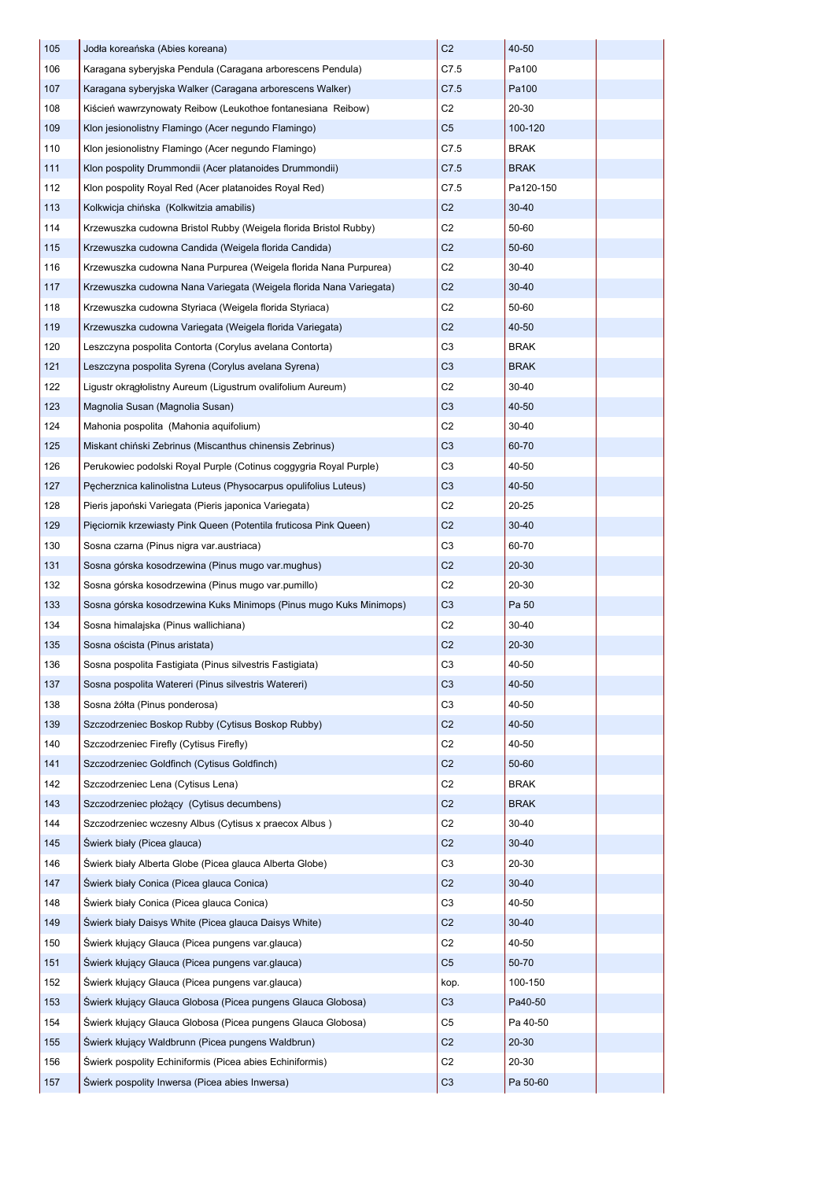| 105 | Jodła koreańska (Abies koreana)                                    | C <sub>2</sub> | 40-50       |  |
|-----|--------------------------------------------------------------------|----------------|-------------|--|
| 106 | Karagana syberyjska Pendula (Caragana arborescens Pendula)         | C7.5           | Pa100       |  |
| 107 | Karagana syberyjska Walker (Caragana arborescens Walker)           | C7.5           | Pa100       |  |
| 108 | Kiścień wawrzynowaty Reibow (Leukothoe fontanesiana Reibow)        | C <sub>2</sub> | 20-30       |  |
| 109 | Klon jesionolistny Flamingo (Acer negundo Flamingo)                | C <sub>5</sub> | 100-120     |  |
| 110 | Klon jesionolistny Flamingo (Acer negundo Flamingo)                | C7.5           | <b>BRAK</b> |  |
| 111 | Klon pospolity Drummondii (Acer platanoides Drummondii)            | C7.5           | BRAK        |  |
| 112 | Klon pospolity Royal Red (Acer platanoides Royal Red)              | C7.5           | Pa120-150   |  |
| 113 | Kolkwicja chińska (Kolkwitzia amabilis)                            | C <sub>2</sub> | $30 - 40$   |  |
| 114 | Krzewuszka cudowna Bristol Rubby (Weigela florida Bristol Rubby)   | C <sub>2</sub> | 50-60       |  |
| 115 | Krzewuszka cudowna Candida (Weigela florida Candida)               | C <sub>2</sub> | 50-60       |  |
| 116 | Krzewuszka cudowna Nana Purpurea (Weigela florida Nana Purpurea)   | C <sub>2</sub> | 30-40       |  |
| 117 | Krzewuszka cudowna Nana Variegata (Weigela florida Nana Variegata) | C <sub>2</sub> | $30 - 40$   |  |
| 118 | Krzewuszka cudowna Styriaca (Weigela florida Styriaca)             | C <sub>2</sub> | 50-60       |  |
| 119 | Krzewuszka cudowna Variegata (Weigela florida Variegata)           | C <sub>2</sub> | 40-50       |  |
| 120 | Leszczyna pospolita Contorta (Corylus avelana Contorta)            | C <sub>3</sub> | <b>BRAK</b> |  |
| 121 | Leszczyna pospolita Syrena (Corylus avelana Syrena)                | C <sub>3</sub> | <b>BRAK</b> |  |
| 122 | Ligustr okragłolistny Aureum (Ligustrum ovalifolium Aureum)        | C <sub>2</sub> | 30-40       |  |
| 123 | Magnolia Susan (Magnolia Susan)                                    | C <sub>3</sub> | 40-50       |  |
| 124 | Mahonia pospolita (Mahonia aquifolium)                             | C <sub>2</sub> | $30 - 40$   |  |
| 125 | Miskant chiński Zebrinus (Miscanthus chinensis Zebrinus)           | C <sub>3</sub> | 60-70       |  |
| 126 | Perukowiec podolski Royal Purple (Cotinus coggygria Royal Purple)  | C <sub>3</sub> | 40-50       |  |
| 127 | Pecherznica kalinolistna Luteus (Physocarpus opulifolius Luteus)   | C <sub>3</sub> | 40-50       |  |
| 128 | Pieris japoński Variegata (Pieris japonica Variegata)              | C <sub>2</sub> | 20-25       |  |
| 129 | Pięciornik krzewiasty Pink Queen (Potentila fruticosa Pink Queen)  | C <sub>2</sub> | 30-40       |  |
| 130 | Sosna czarna (Pinus nigra var.austriaca)                           | C <sub>3</sub> | 60-70       |  |
| 131 | Sosna górska kosodrzewina (Pinus mugo var.mughus)                  | C <sub>2</sub> | $20 - 30$   |  |
| 132 | Sosna górska kosodrzewina (Pinus mugo var.pumillo)                 | C <sub>2</sub> | 20-30       |  |
| 133 | Sosna górska kosodrzewina Kuks Minimops (Pinus mugo Kuks Minimops) | C <sub>3</sub> | Pa 50       |  |
| 134 | Sosna himalajska (Pinus wallichiana)                               | C <sub>2</sub> | $30 - 40$   |  |
| 135 | Sosna oścista (Pinus aristata)                                     | C <sub>2</sub> | 20-30       |  |
| 136 | Sosna pospolita Fastigiata (Pinus silvestris Fastigiata)           | C <sub>3</sub> | 40-50       |  |
| 137 | Sosna pospolita Watereri (Pinus silvestris Watereri)               | C <sub>3</sub> | 40-50       |  |
| 138 | Sosna żółta (Pinus ponderosa)                                      | C <sub>3</sub> | 40-50       |  |
| 139 | Szczodrzeniec Boskop Rubby (Cytisus Boskop Rubby)                  | C <sub>2</sub> | 40-50       |  |
| 140 | Szczodrzeniec Firefly (Cytisus Firefly)                            | C <sub>2</sub> | 40-50       |  |
| 141 | Szczodrzeniec Goldfinch (Cytisus Goldfinch)                        | C <sub>2</sub> | 50-60       |  |
| 142 | Szczodrzeniec Lena (Cytisus Lena)                                  | C <sub>2</sub> | <b>BRAK</b> |  |
| 143 | Szczodrzeniec płożący (Cytisus decumbens)                          | C <sub>2</sub> | <b>BRAK</b> |  |
| 144 | Szczodrzeniec wczesny Albus (Cytisus x praecox Albus)              | C <sub>2</sub> | 30-40       |  |
| 145 | Świerk biały (Picea glauca)                                        | C <sub>2</sub> | $30 - 40$   |  |
| 146 | Swierk biały Alberta Globe (Picea glauca Alberta Globe)            | C <sub>3</sub> | 20-30       |  |
| 147 | Świerk biały Conica (Picea glauca Conica)                          | C <sub>2</sub> | 30-40       |  |
| 148 | Swierk biały Conica (Picea glauca Conica)                          | C <sub>3</sub> | 40-50       |  |
| 149 | Swierk biały Daisys White (Picea glauca Daisys White)              | C <sub>2</sub> | 30-40       |  |
| 150 | Swierk kłujący Glauca (Picea pungens var.glauca)                   | C <sub>2</sub> | 40-50       |  |
| 151 | Świerk kłujący Glauca (Picea pungens var.glauca)                   | C <sub>5</sub> | 50-70       |  |
| 152 | Swierk kłujący Glauca (Picea pungens var.glauca)                   | kop.           | 100-150     |  |
| 153 | Świerk kłujący Glauca Globosa (Picea pungens Glauca Globosa)       | C <sub>3</sub> | Pa40-50     |  |
| 154 | Świerk kłujący Glauca Globosa (Picea pungens Glauca Globosa)       | C5             | Pa 40-50    |  |
| 155 | Swierk kłujący Waldbrunn (Picea pungens Waldbrun)                  | C <sub>2</sub> | 20-30       |  |
| 156 | Swierk pospolity Echiniformis (Picea abies Echiniformis)           | C <sub>2</sub> | 20-30       |  |
| 157 | Swierk pospolity Inwersa (Picea abies Inwersa)                     | C <sub>3</sub> | Pa 50-60    |  |
|     |                                                                    |                |             |  |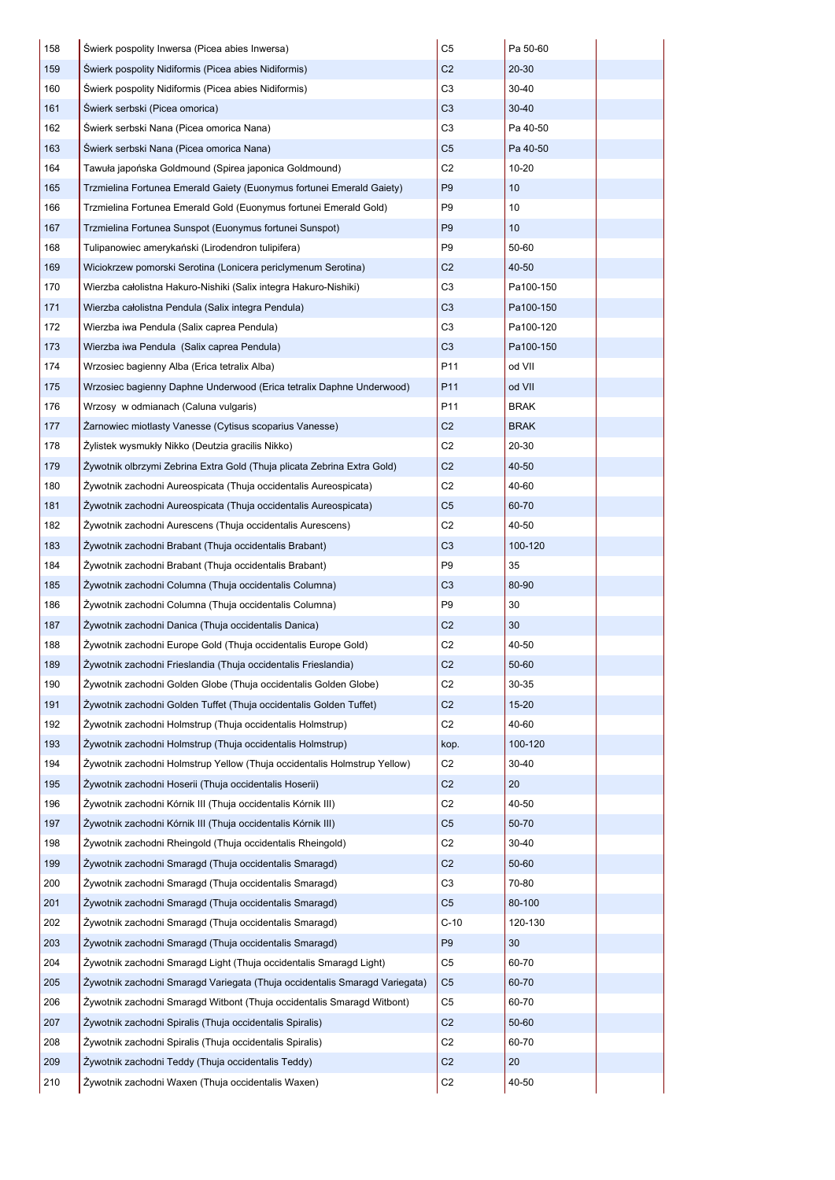| 158 | Świerk pospolity Inwersa (Picea abies Inwersa)                             | C <sub>5</sub> | Pa 50-60        |  |
|-----|----------------------------------------------------------------------------|----------------|-----------------|--|
| 159 | Świerk pospolity Nidiformis (Picea abies Nidiformis)                       | C <sub>2</sub> | 20-30           |  |
| 160 | Swierk pospolity Nidiformis (Picea abies Nidiformis)                       | C <sub>3</sub> | 30-40           |  |
| 161 | Swierk serbski (Picea omorica)                                             | C <sub>3</sub> | $30 - 40$       |  |
| 162 | Swierk serbski Nana (Picea omorica Nana)                                   | C <sub>3</sub> | Pa 40-50        |  |
| 163 | Swierk serbski Nana (Picea omorica Nana)                                   | C <sub>5</sub> | Pa 40-50        |  |
| 164 | Tawuła japońska Goldmound (Spirea japonica Goldmound)                      | C <sub>2</sub> | $10 - 20$       |  |
| 165 | Trzmielina Fortunea Emerald Gaiety (Euonymus fortunei Emerald Gaiety)      | P <sub>9</sub> | 10 <sup>1</sup> |  |
| 166 | Trzmielina Fortunea Emerald Gold (Euonymus fortunei Emerald Gold)          | P <sub>9</sub> | 10              |  |
| 167 | Trzmielina Fortunea Sunspot (Euonymus fortunei Sunspot)                    | P <sub>9</sub> | 10              |  |
| 168 | Tulipanowiec amerykański (Lirodendron tulipifera)                          | P <sub>9</sub> | 50-60           |  |
| 169 | Wiciokrzew pomorski Serotina (Lonicera periclymenum Serotina)              | C <sub>2</sub> | 40-50           |  |
| 170 | Wierzba całolistna Hakuro-Nishiki (Salix integra Hakuro-Nishiki)           | C <sub>3</sub> | Pa100-150       |  |
| 171 | Wierzba całolistna Pendula (Salix integra Pendula)                         | C <sub>3</sub> | Pa100-150       |  |
| 172 | Wierzba iwa Pendula (Salix caprea Pendula)                                 | C <sub>3</sub> | Pa100-120       |  |
| 173 | Wierzba iwa Pendula (Salix caprea Pendula)                                 | C <sub>3</sub> | Pa100-150       |  |
| 174 | Wrzosiec bagienny Alba (Erica tetralix Alba)                               | P11            | od VII          |  |
| 175 | Wrzosiec bagienny Daphne Underwood (Erica tetralix Daphne Underwood)       | P11            | <b>NO</b> bo    |  |
| 176 | Wrzosy w odmianach (Caluna vulgaris)                                       | P11            | <b>BRAK</b>     |  |
| 177 | Žarnowiec miotlasty Vanesse (Cytisus scoparius Vanesse)                    | C <sub>2</sub> | <b>BRAK</b>     |  |
| 178 | Zylistek wysmukły Nikko (Deutzia gracilis Nikko)                           | C <sub>2</sub> | 20-30           |  |
| 179 | Zywotnik olbrzymi Zebrina Extra Gold (Thuja plicata Zebrina Extra Gold)    | C <sub>2</sub> | 40-50           |  |
| 180 | Žywotnik zachodni Aureospicata (Thuja occidentalis Aureospicata)           | C <sub>2</sub> | 40-60           |  |
| 181 | Žywotnik zachodni Aureospicata (Thuja occidentalis Aureospicata)           | C <sub>5</sub> | 60-70           |  |
| 182 | Žywotnik zachodni Aurescens (Thuja occidentalis Aurescens)                 | C <sub>2</sub> | 40-50           |  |
| 183 | Zywotnik zachodni Brabant (Thuja occidentalis Brabant)                     | C <sub>3</sub> | 100-120         |  |
| 184 | Zywotnik zachodni Brabant (Thuja occidentalis Brabant)                     | P <sub>9</sub> | 35              |  |
| 185 | Zywotnik zachodni Columna (Thuja occidentalis Columna)                     | C <sub>3</sub> | 80-90           |  |
| 186 | Žywotnik zachodni Columna (Thuja occidentalis Columna)                     | P <sub>9</sub> | 30              |  |
| 187 | Žywotnik zachodni Danica (Thuja occidentalis Danica)                       | C <sub>2</sub> | 30              |  |
| 188 | Žywotnik zachodni Europe Gold (Thuja occidentalis Europe Gold)             | C <sub>2</sub> | 40-50           |  |
| 189 | Žywotnik zachodni Frieslandia (Thuja occidentalis Frieslandia)             | C <sub>2</sub> | 50-60           |  |
| 190 | Żywotnik zachodni Golden Globe (Thuja occidentalis Golden Globe)           | C <sub>2</sub> | 30-35           |  |
| 191 | Żywotnik zachodni Golden Tuffet (Thuja occidentalis Golden Tuffet)         | C <sub>2</sub> | $15 - 20$       |  |
| 192 | Žywotnik zachodni Holmstrup (Thuja occidentalis Holmstrup)                 | C <sub>2</sub> | 40-60           |  |
| 193 | Żywotnik zachodni Holmstrup (Thuja occidentalis Holmstrup)                 | kop.           | 100-120         |  |
| 194 | Žywotnik zachodni Holmstrup Yellow (Thuja occidentalis Holmstrup Yellow)   | C <sub>2</sub> | $30 - 40$       |  |
| 195 | Žywotnik zachodni Hoserii (Thuja occidentalis Hoserii)                     | C <sub>2</sub> | 20              |  |
| 196 | Žywotnik zachodni Kórnik III (Thuja occidentalis Kórnik III)               | C <sub>2</sub> | 40-50           |  |
| 197 | Żywotnik zachodni Kórnik III (Thuja occidentalis Kórnik III)               | C <sub>5</sub> | 50-70           |  |
| 198 | Žywotnik zachodni Rheingold (Thuja occidentalis Rheingold)                 | C <sub>2</sub> | 30-40           |  |
| 199 | Zywotnik zachodni Smaragd (Thuja occidentalis Smaragd)                     | C <sub>2</sub> | 50-60           |  |
| 200 | Żywotnik zachodni Smaragd (Thuja occidentalis Smaragd)                     | C <sub>3</sub> | 70-80           |  |
| 201 | Żywotnik zachodni Smaragd (Thuja occidentalis Smaragd)                     | C <sub>5</sub> | 80-100          |  |
| 202 | Żywotnik zachodni Smaragd (Thuja occidentalis Smaragd)                     | $C-10$         | 120-130         |  |
| 203 | Żywotnik zachodni Smaragd (Thuja occidentalis Smaragd)                     | P <sub>9</sub> | 30              |  |
| 204 | Żywotnik zachodni Smaragd Light (Thuja occidentalis Smaragd Light)         | C <sub>5</sub> | 60-70           |  |
| 205 | Żywotnik zachodni Smaragd Variegata (Thuja occidentalis Smaragd Variegata) | C <sub>5</sub> | 60-70           |  |
| 206 | Żywotnik zachodni Smaragd Witbont (Thuja occidentalis Smaragd Witbont)     | C <sub>5</sub> | 60-70           |  |
| 207 | Žywotnik zachodni Spiralis (Thuja occidentalis Spiralis)                   | C <sub>2</sub> | 50-60           |  |
| 208 | Žywotnik zachodni Spiralis (Thuja occidentalis Spiralis)                   | C <sub>2</sub> | 60-70           |  |
| 209 | Žywotnik zachodni Teddy (Thuja occidentalis Teddy)                         | C <sub>2</sub> | 20              |  |
| 210 | Żywotnik zachodni Waxen (Thuja occidentalis Waxen)                         | C <sub>2</sub> | 40-50           |  |
|     |                                                                            |                |                 |  |